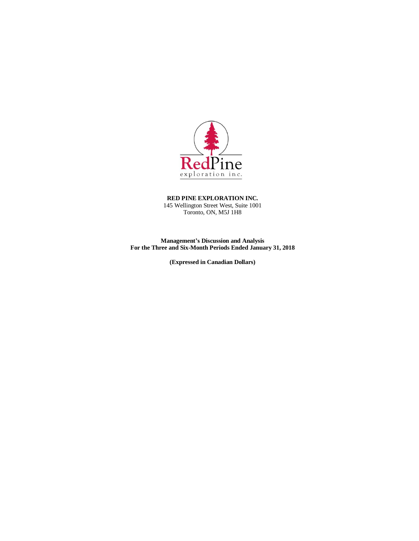

**RED PINE EXPLORATION INC.** 145 Wellington Street West, Suite 1001 Toronto, ON, M5J 1H8

**Management's Discussion and Analysis For the Three and Six-Month Periods Ended January 31, 2018**

**(Expressed in Canadian Dollars)**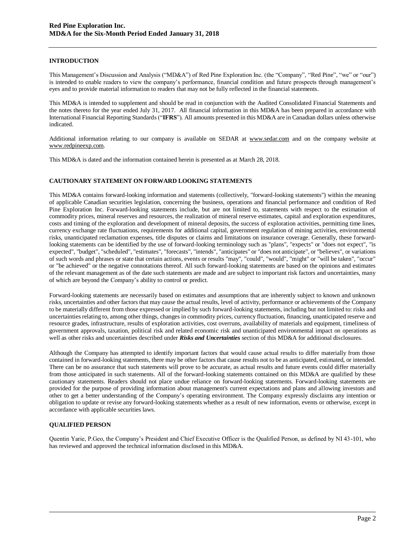# **INTRODUCTION**

This Management's Discussion and Analysis ("MD&A") of Red Pine Exploration Inc. (the "Company", "Red Pine", "we" or "our") is intended to enable readers to view the company's performance, financial condition and future prospects through management's eyes and to provide material information to readers that may not be fully reflected in the financial statements.

This MD&A is intended to supplement and should be read in conjunction with the Audited Consolidated Financial Statements and the notes thereto for the year ended July 31, 2017. All financial information in this MD&A has been prepared in accordance with International Financial Reporting Standards ("**IFRS**"). All amounts presented in this MD&A are in Canadian dollars unless otherwise indicated.

Additional information relating to our company is available on SEDAR at www.sedar.com and on the company website at www.redpineexp.com.

This MD&A is dated and the information contained herein is presented as at March 28, 2018.

## **CAUTIONARY STATEMENT ON FORWARD LOOKING STATEMENTS**

This MD&A contains forward-looking information and statements (collectively, "forward-looking statements") within the meaning of applicable Canadian securities legislation, concerning the business, operations and financial performance and condition of Red Pine Exploration Inc. Forward-looking statements include, but are not limited to, statements with respect to the estimation of commodity prices, mineral reserves and resources, the realization of mineral reserve estimates, capital and exploration expenditures, costs and timing of the exploration and development of mineral deposits, the success of exploration activities, permitting time lines, currency exchange rate fluctuations, requirements for additional capital, government regulation of mining activities, environmental risks, unanticipated reclamation expenses, title disputes or claims and limitations on insurance coverage. Generally, these forwardlooking statements can be identified by the use of forward-looking terminology such as "plans", "expects" or "does not expect", "is expected", "budget", "scheduled", "estimates", "forecasts", "intends", "anticipates" or "does not anticipate", or "believes", or variations of such words and phrases or state that certain actions, events or results "may", "could", "would", "might" or "will be taken", "occur" or "be achieved" or the negative connotations thereof. All such forward-looking statements are based on the opinions and estimates of the relevant management as of the date such statements are made and are subject to important risk factors and uncertainties, many of which are beyond the Company's ability to control or predict.

Forward-looking statements are necessarily based on estimates and assumptions that are inherently subject to known and unknown risks, uncertainties and other factors that may cause the actual results, level of activity, performance or achievements of the Company to be materially different from those expressed or implied by such forward-looking statements, including but not limited to: risks and uncertainties relating to, among other things, changes in commodity prices, currency fluctuation, financing, unanticipated reserve and resource grades, infrastructure, results of exploration activities, cost overruns, availability of materials and equipment, timeliness of government approvals, taxation, political risk and related economic risk and unanticipated environmental impact on operations as well as other risks and uncertainties described under *Risks and Uncertainties* section of this MD&A for additional disclosures.

Although the Company has attempted to identify important factors that would cause actual results to differ materially from those contained in forward-looking statements, there may be other factors that cause results not to be as anticipated, estimated, or intended. There can be no assurance that such statements will prove to be accurate, as actual results and future events could differ materially from those anticipated in such statements. All of the forward-looking statements contained on this MD&A are qualified by these cautionary statements. Readers should not place undue reliance on forward-looking statements. Forward-looking statements are provided for the purpose of providing information about management's current expectations and plans and allowing investors and other to get a better understanding of the Company's operating environment. The Company expressly disclaims any intention or obligation to update or revise any forward-looking statements whether as a result of new information, events or otherwise, except in accordance with applicable securities laws.

# **QUALIFIED PERSON**

Quentin Yarie, P.Geo, the Company's President and Chief Executive Officer is the Qualified Person, as defined by NI 43-101, who has reviewed and approved the technical information disclosed in this MD&A.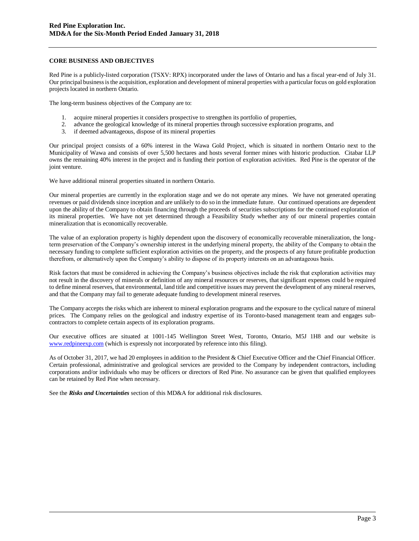## **CORE BUSINESS AND OBJECTIVES**

Red Pine is a publicly-listed corporation (TSXV: RPX) incorporated under the laws of Ontario and has a fiscal year-end of July 31. Our principal business is the acquisition, exploration and development of mineral properties with a particular focus on gold exploration projects located in northern Ontario.

The long-term business objectives of the Company are to:

- 1. acquire mineral properties it considers prospective to strengthen its portfolio of properties,
- 2. advance the geological knowledge of its mineral properties through successive exploration programs, and
- 3. if deemed advantageous, dispose of its mineral properties

Our principal project consists of a 60% interest in the Wawa Gold Project, which is situated in northern Ontario next to the Municipality of Wawa and consists of over 5,500 hectares and hosts several former mines with historic production. Citabar LLP owns the remaining 40% interest in the project and is funding their portion of exploration activities. Red Pine is the operator of the joint venture.

We have additional mineral properties situated in northern Ontario.

Our mineral properties are currently in the exploration stage and we do not operate any mines. We have not generated operating revenues or paid dividends since inception and are unlikely to do so in the immediate future. Our continued operations are dependent upon the ability of the Company to obtain financing through the proceeds of securities subscriptions for the continued exploration of its mineral properties. We have not yet determined through a Feasibility Study whether any of our mineral properties contain mineralization that is economically recoverable.

The value of an exploration property is highly dependent upon the discovery of economically recoverable mineralization, the longterm preservation of the Company's ownership interest in the underlying mineral property, the ability of the Company to obtain the necessary funding to complete sufficient exploration activities on the property, and the prospects of any future profitable production therefrom, or alternatively upon the Company's ability to dispose of its property interests on an advantageous basis.

Risk factors that must be considered in achieving the Company's business objectives include the risk that exploration activities may not result in the discovery of minerals or definition of any mineral resources or reserves, that significant expenses could be required to define mineral reserves, that environmental, land title and competitive issues may prevent the development of any mineral reserves, and that the Company may fail to generate adequate funding to development mineral reserves.

The Company accepts the risks which are inherent to mineral exploration programs and the exposure to the cyclical nature of mineral prices. The Company relies on the geological and industry expertise of its Toronto-based management team and engages subcontractors to complete certain aspects of its exploration programs.

Our executive offices are situated at 1001-145 Wellington Street West, Toronto, Ontario, M5J 1H8 and our website is [www.redpineexp.com](http://www.redpineexp.com/) (which is expressly not incorporated by reference into this filing).

As of October 31, 2017, we had 20 employees in addition to the President & Chief Executive Officer and the Chief Financial Officer. Certain professional, administrative and geological services are provided to the Company by independent contractors, including corporations and/or individuals who may be officers or directors of Red Pine. No assurance can be given that qualified employees can be retained by Red Pine when necessary.

See the *Risks and Uncertainties* section of this MD&A for additional risk disclosures.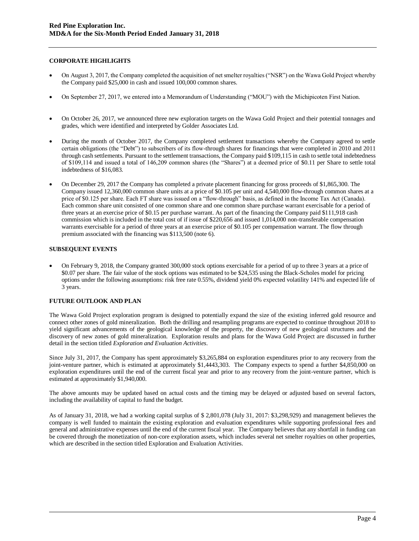## **CORPORATE HIGHLIGHTS**

- On August 3, 2017, the Company completed the acquisition of net smelter royalties ("NSR") on the Wawa Gold Project whereby the Company paid \$25,000 in cash and issued 100,000 common shares.
- On September 27, 2017, we entered into a Memorandum of Understanding ("MOU") with the Michipicoten First Nation.
- On October 26, 2017, we announced three new exploration targets on the Wawa Gold Project and their potential tonnages and grades, which were identified and interpreted by Golder Associates Ltd.
- During the month of October 2017, the Company completed settlement transactions whereby the Company agreed to settle certain obligations (the "Debt") to subscribers of its flow-through shares for financings that were completed in 2010 and 2011 through cash settlements. Pursuant to the settlement transactions, the Company paid \$109,115 in cash to settle total indebtedness of \$109,114 and issued a total of 146,209 common shares (the "Shares") at a deemed price of \$0.11 per Share to settle total indebtedness of \$16,083.
- On December 29, 2017 the Company has completed a private placement financing for gross proceeds of \$1,865,300. The Company issued 12,360,000 common share units at a price of \$0.105 per unit and 4,540,000 flow-through common shares at a price of \$0.125 per share. Each FT share was issued on a "flow-through" basis, as defined in the Income Tax Act (Canada). Each common share unit consisted of one common share and one common share purchase warrant exercisable for a period of three years at an exercise price of \$0.15 per purchase warrant. As part of the financing the Company paid \$111,918 cash commission which is included in the total cost of if issue of \$220,656 and issued 1,014,000 non-transferable compensation warrants exercisable for a period of three years at an exercise price of \$0.105 per compensation warrant. The flow through premium associated with the financing was \$113,500 (note 6).

## **SUBSEQUENT EVENTS**

• On February 9, 2018, the Company granted 300,000 stock options exercisable for a period of up to three 3 years at a price of \$0.07 per share. The fair value of the stock options was estimated to be \$24,535 using the Black-Scholes model for pricing options under the following assumptions: risk free rate 0.55%, dividend yield 0% expected volatility 141% and expected life of 3 years.

# **FUTURE OUTLOOK AND PLAN**

The Wawa Gold Project exploration program is designed to potentially expand the size of the existing inferred gold resource and connect other zones of gold mineralization. Both the drilling and resampling programs are expected to continue throughout 2018 to yield significant advancements of the geological knowledge of the property, the discovery of new geological structures and the discovery of new zones of gold mineralization. Exploration results and plans for the Wawa Gold Project are discussed in further detail in the section titled *Exploration and Evaluation Activities*.

Since July 31, 2017, the Company has spent approximately \$3,265,884 on exploration expenditures prior to any recovery from the joint-venture partner, which is estimated at approximately \$1,4443,303. The Company expects to spend a further \$4,850,000 on exploration expenditures until the end of the current fiscal year and prior to any recovery from the joint-venture partner, which is estimated at approximately \$1,940,000.

The above amounts may be updated based on actual costs and the timing may be delayed or adjusted based on several factors, including the availability of capital to fund the budget.

As of January 31, 2018, we had a working capital surplus of \$ 2,801,078 (July 31, 2017: \$3,298,929) and management believes the company is well funded to maintain the existing exploration and evaluation expenditures while supporting professional fees and general and administrative expenses until the end of the current fiscal year. The Company believes that any shortfall in funding can be covered through the monetization of non-core exploration assets, which includes several net smelter royalties on other properties, which are described in the section titled Exploration and Evaluation Activities.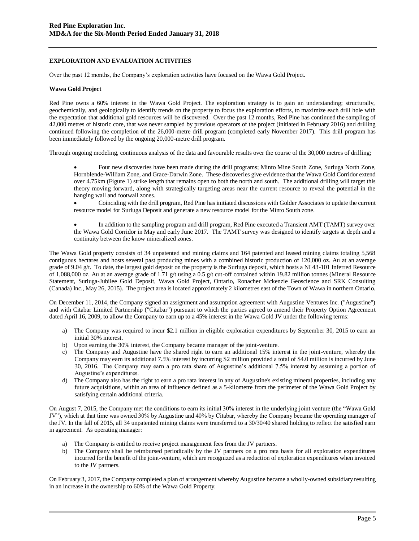# **EXPLORATION AND EVALUATION ACTIVITIES**

Over the past 12 months, the Company's exploration activities have focused on the Wawa Gold Project.

#### **Wawa Gold Project**

Red Pine owns a 60% interest in the Wawa Gold Project. The exploration strategy is to gain an understanding; structurally, geochemically, and geologically to identify trends on the property to focus the exploration efforts, to maximize each drill hole with the expectation that additional gold resources will be discovered. Over the past 12 months, Red Pine has continued the sampling of 42,000 metres of historic core, that was never sampled by previous operators of the project (initiated in February 2016) and drilling continued following the completion of the 26,000-metre drill program (completed early November 2017). This drill program has been immediately followed by the ongoing 20,000-metre drill program.

Through ongoing modeling, continuous analysis of the data and favourable results over the course of the 30,000 metres of drilling;

• Four new discoveries have been made during the drill programs; Minto Mine South Zone, Surluga North Zone, Hornblende-William Zone, and Grace-Darwin Zone. These discoveries give evidence that the Wawa Gold Corridor extend over 4.75km (Figure 1) strike length that remains open to both the north and south. The additional drilling will target this theory moving forward, along with strategically targeting areas near the current resource to reveal the potential in the hanging wall and footwall zones.

• Coinciding with the drill program, Red Pine has initiated discussions with Golder Associates to update the current resource model for Surluga Deposit and generate a new resource model for the Minto South zone.

• In addition to the sampling program and drill program, Red Pine executed a Transient AMT (TAMT) survey over the Wawa Gold Corridor in May and early June 2017. The TAMT survey was designed to identify targets at depth and a continuity between the know mineralized zones.

The Wawa Gold property consists of 34 unpatented and mining claims and 164 patented and leased mining claims totaling 5,568 contiguous hectares and hosts several past producing mines with a combined historic production of 120,000 oz. Au at an average grade of 9.04 g/t. To date, the largest gold deposit on the property is the Surluga deposit, which hosts a NI 43-101 Inferred Resource of 1,088,000 oz. Au at an average grade of 1.71 g/t using a 0.5 g/t cut-off contained within 19.82 million tonnes (Mineral Resource Statement, Surluga-Jubilee Gold Deposit, Wawa Gold Project, Ontario, Ronacher Mckenzie Geoscience and SRK Consulting (Canada) Inc., May 26, 2015). The project area is located approximately 2 kilometres east of the Town of Wawa in northern Ontario.

On December 11, 2014, the Company signed an assignment and assumption agreement with Augustine Ventures Inc. ("Augustine") and with Citabar Limited Partnership ("Citabar") pursuant to which the parties agreed to amend their Property Option Agreement dated April 16, 2009, to allow the Company to earn up to a 45% interest in the Wawa Gold JV under the following terms:

- a) The Company was required to incur \$2.1 million in eligible exploration expenditures by September 30, 2015 to earn an initial 30% interest.
- b) Upon earning the 30% interest, the Company became manager of the joint-venture.
- c) The Company and Augustine have the shared right to earn an additional 15% interest in the joint-venture, whereby the Company may earn its additional 7.5% interest by incurring \$2 million provided a total of \$4.0 million is incurred by June 30, 2016. The Company may earn a pro rata share of Augustine's additional 7.5% interest by assuming a portion of Augustine's expenditures.
- d) The Company also has the right to earn a pro rata interest in any of Augustine's existing mineral properties, including any future acquisitions, within an area of influence defined as a 5-kilometre from the perimeter of the Wawa Gold Project by satisfying certain additional criteria.

On August 7, 2015, the Company met the conditions to earn its initial 30% interest in the underlying joint venture (the "Wawa Gold JV"), which at that time was owned 30% by Augustine and 40% by Citabar, whereby the Company became the operating manager of the JV. In the fall of 2015, all 34 unpatented mining claims were transferred to a 30/30/40 shared holding to reflect the satisfied earn in agreement. As operating manager:

- a) The Company is entitled to receive project management fees from the JV partners.
- b) The Company shall be reimbursed periodically by the JV partners on a pro rata basis for all exploration expenditures incurred for the benefit of the joint-venture, which are recognized as a reduction of exploration expenditures when invoiced to the JV partners.

On February 3, 2017, the Company completed a plan of arrangement whereby Augustine became a wholly-owned subsidiary resulting in an increase in the ownership to 60% of the Wawa Gold Property.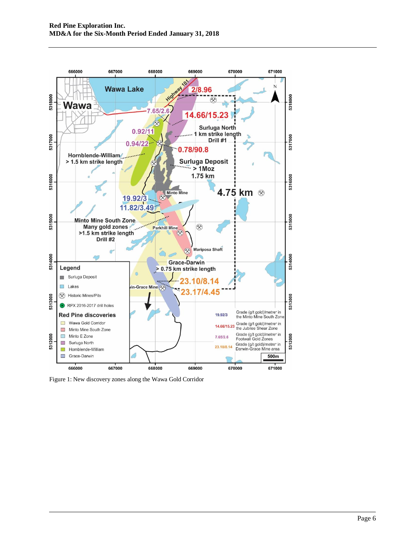

Figure 1: New discovery zones along the Wawa Gold Corridor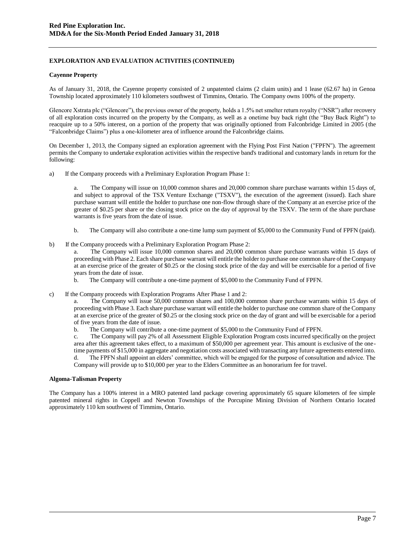# **EXPLORATION AND EVALUATION ACTIVITIES (CONTINUED)**

### **Cayenne Property**

As of January 31, 2018, the Cayenne property consisted of 2 unpatented claims (2 claim units) and 1 lease (62.67 ha) in Genoa Township located approximately 110 kilometers southwest of Timmins, Ontario. The Company owns 100% of the property.

Glencore Xstrata plc ("Glencore"), the previous owner of the property, holds a 1.5% net smelter return royalty ("NSR") after recovery of all exploration costs incurred on the property by the Company, as well as a onetime buy back right (the "Buy Back Right") to reacquire up to a 50% interest, on a portion of the property that was originally optioned from Falconbridge Limited in 2005 (the "Falconbridge Claims") plus a one-kilometer area of influence around the Falconbridge claims.

On December 1, 2013, the Company signed an exploration agreement with the Flying Post First Nation ("FPFN"). The agreement permits the Company to undertake exploration activities within the respective band's traditional and customary lands in return for the following:

a) If the Company proceeds with a Preliminary Exploration Program Phase 1:

a. The Company will issue on 10,000 common shares and 20,000 common share purchase warrants within 15 days of, and subject to approval of the TSX Venture Exchange ("TSXV"), the execution of the agreement (issued). Each share purchase warrant will entitle the holder to purchase one non-flow through share of the Company at an exercise price of the greater of \$0.25 per share or the closing stock price on the day of approval by the TSXV. The term of the share purchase warrants is five years from the date of issue.

- b. The Company will also contribute a one-time lump sum payment of \$5,000 to the Community Fund of FPFN (paid).
- b) If the Company proceeds with a Preliminary Exploration Program Phase 2:

a. The Company will issue 10,000 common shares and 20,000 common share purchase warrants within 15 days of proceeding with Phase 2. Each share purchase warrant will entitle the holder to purchase one common share of the Company at an exercise price of the greater of \$0.25 or the closing stock price of the day and will be exercisable for a period of five years from the date of issue.

- b. The Company will contribute a one-time payment of \$5,000 to the Community Fund of FPFN.
- c) If the Company proceeds with Exploration Programs After Phase 1 and 2:

a. The Company will issue 50,000 common shares and 100,000 common share purchase warrants within 15 days of proceeding with Phase 3. Each share purchase warrant will entitle the holder to purchase one common share of the Company at an exercise price of the greater of \$0.25 or the closing stock price on the day of grant and will be exercisable for a period of five years from the date of issue.

b. The Company will contribute a one-time payment of \$5,000 to the Community Fund of FPFN.

c. The Company will pay 2% of all Assessment Eligible Exploration Program costs incurred specifically on the project area after this agreement takes effect, to a maximum of \$50,000 per agreement year. This amount is exclusive of the onetime payments of \$15,000 in aggregate and negotiation costs associated with transacting any future agreements entered into. d. The FPFN shall appoint an elders' committee, which will be engaged for the purpose of consultation and advice. The

Company will provide up to \$10,000 per year to the Elders Committee as an honorarium fee for travel.

## **Algoma-Talisman Property**

The Company has a 100% interest in a MRO patented land package covering approximately 65 square kilometers of fee simple patented mineral rights in Coppell and Newton Townships of the Porcupine Mining Division of Northern Ontario located approximately 110 km southwest of Timmins, Ontario.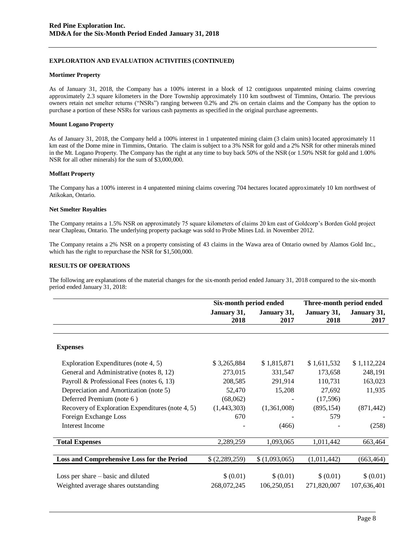## **EXPLORATION AND EVALUATION ACTIVITIES (CONTINUED)**

### **Mortimer Property**

As of January 31, 2018, the Company has a 100% interest in a block of 12 contiguous unpatented mining claims covering approximately 2.3 square kilometers in the Dore Township approximately 110 km southwest of Timmins, Ontario. The previous owners retain net smelter returns ("NSRs") ranging between 0.2% and 2% on certain claims and the Company has the option to purchase a portion of these NSRs for various cash payments as specified in the original purchase agreements.

## **Mount Logano Property**

As of January 31, 2018, the Company held a 100% interest in 1 unpatented mining claim (3 claim units) located approximately 11 km east of the Dome mine in Timmins, Ontario. The claim is subject to a 3% NSR for gold and a 2% NSR for other minerals mined in the Mt. Logano Property. The Company has the right at any time to buy back 50% of the NSR (or 1.50% NSR for gold and 1.00% NSR for all other minerals) for the sum of \$3,000,000.

## **Moffatt Property**

The Company has a 100% interest in 4 unpatented mining claims covering 704 hectares located approximately 10 km northwest of Atikokan, Ontario.

## **Net Smelter Royalties**

The Company retains a 1.5% NSR on approximately 75 square kilometers of claims 20 km east of Goldcorp's Borden Gold project near Chapleau, Ontario. The underlying property package was sold to Probe Mines Ltd. in November 2012.

The Company retains a 2% NSR on a property consisting of 43 claims in the Wawa area of Ontario owned by Alamos Gold Inc., which has the right to repurchase the NSR for \$1,500,000.

## **RESULTS OF OPERATIONS**

The following are explanations of the material changes for the six-month period ended January 31, 2018 compared to the six-month period ended January 31, 2018:

|                                                  | Six-month period ended |                     | Three-month period ended |                     |  |
|--------------------------------------------------|------------------------|---------------------|--------------------------|---------------------|--|
|                                                  | January 31,<br>2018    | January 31,<br>2017 | January 31,<br>2018      | January 31,<br>2017 |  |
|                                                  |                        |                     |                          |                     |  |
| <b>Expenses</b>                                  |                        |                     |                          |                     |  |
| Exploration Expenditures (note 4, 5)             | \$3,265,884            | \$1,815,871         | \$1,611,532              | \$1,112,224         |  |
| General and Administrative (notes 8, 12)         | 273,015                | 331,547             | 173,658                  | 248,191             |  |
| Payroll & Professional Fees (notes 6, 13)        | 208,585                | 291,914             | 110,731                  | 163,023             |  |
| Depreciation and Amortization (note 5)           | 52,470                 | 15,208              | 27,692                   | 11,935              |  |
| Deferred Premium (note 6)                        | (68,062)               |                     | (17,596)                 |                     |  |
| Recovery of Exploration Expenditures (note 4, 5) | (1,443,303)            | (1,361,008)         | (895, 154)               | (871, 442)          |  |
| Foreign Exchange Loss                            | 670                    |                     | 579                      |                     |  |
| Interest Income                                  |                        | (466)               |                          | (258)               |  |
| <b>Total Expenses</b>                            | 2,289,259              | 1,093,065           | 1,011,442                | 663,464             |  |
| Loss and Comprehensive Loss for the Period       | \$(2,289,259)          | (1,093,065)         | (1,011,442)              | (663, 464)          |  |
|                                                  |                        |                     |                          |                     |  |
| Loss per share $-$ basic and diluted             | \$ (0.01)              | \$(0.01)            | \$ (0.01)                | \$ (0.01)           |  |
| Weighted average shares outstanding              | 268,072,245            | 106,250,051         | 271,820,007              | 107,636,401         |  |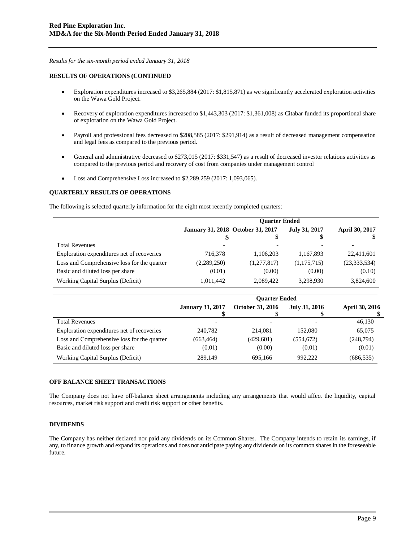*Results for the six-month period ended January 31, 2018*

#### **RESULTS OF OPERATIONS (CONTINUED**

- Exploration expenditures increased to  $$3,265,884$  (2017:  $$1,815,871$ ) as we significantly accelerated exploration activities on the Wawa Gold Project.
- Recovery of exploration expenditures increased to \$1,443,303 (2017: \$1,361,008) as Citabar funded its proportional share of exploration on the Wawa Gold Project.
- Payroll and professional fees decreased to \$208,585 (2017: \$291,914) as a result of decreased management compensation and legal fees as compared to the previous period.
- General and administrative decreased to \$273,015 (2017: \$331,547) as a result of decreased investor relations activities as compared to the previous period and recovery of cost from companies under management control
- Loss and Comprehensive Loss increased to \$2,289,259 (2017: 1,093,065).

#### **QUARTERLY RESULTS OF OPERATIONS**

The following is selected quarterly information for the eight most recently completed quarters:

|                                             | <b>Ouarter Ended</b> |                                   |                    |                |  |
|---------------------------------------------|----------------------|-----------------------------------|--------------------|----------------|--|
|                                             |                      | January 31, 2018 October 31, 2017 | July 31, 2017<br>Φ | April 30, 2017 |  |
| <b>Total Revenues</b>                       |                      |                                   |                    |                |  |
| Exploration expenditures net of recoveries  | 716.378              | 1,106,203                         | 1,167,893          | 22,411,601     |  |
| Loss and Comprehensive loss for the quarter | (2,289,250)          | (1,277,817)                       | (1,175,715)        | (23, 333, 534) |  |
| Basic and diluted loss per share            | (0.01)               | (0.00)                            | (0.00)             | (0.10)         |  |
| Working Capital Surplus (Deficit)           | 1,011,442            | 2,089,422                         | 3,298,930          | 3,824,600      |  |

|                                             | <b>Ouarter Ended</b>    |                  |                      |                       |  |  |
|---------------------------------------------|-------------------------|------------------|----------------------|-----------------------|--|--|
|                                             | <b>January 31, 2017</b> | October 31, 2016 | <b>July 31, 2016</b> | <b>April 30, 2016</b> |  |  |
| <b>Total Revenues</b>                       |                         |                  |                      | 46,130                |  |  |
| Exploration expenditures net of recoveries  | 240,782                 | 214.081          | 152,080              | 65,075                |  |  |
| Loss and Comprehensive loss for the quarter | (663, 464)              | (429, 601)       | (554, 672)           | (248, 794)            |  |  |
| Basic and diluted loss per share            | (0.01)                  | (0.00)           | (0.01)               | (0.01)                |  |  |
| Working Capital Surplus (Deficit)           | 289,149                 | 695,166          | 992.222              | (686, 535)            |  |  |

# **OFF BALANCE SHEET TRANSACTIONS**

The Company does not have off-balance sheet arrangements including any arrangements that would affect the liquidity, capital resources, market risk support and credit risk support or other benefits.

#### **DIVIDENDS**

The Company has neither declared nor paid any dividends on its Common Shares. The Company intends to retain its earnings, if any, to finance growth and expand its operations and does not anticipate paying any dividends on its common shares in the foreseeable future.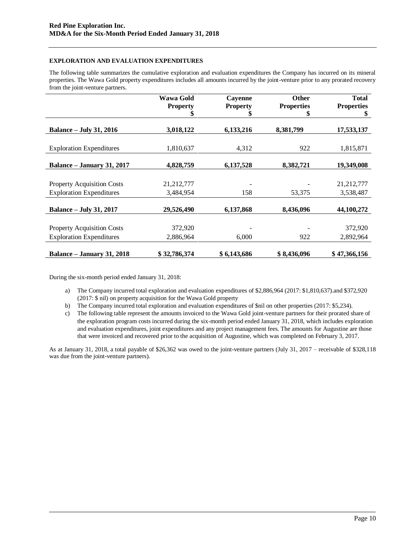# **EXPLORATION AND EVALUATION EXPENDITURES**

The following table summarizes the cumulative exploration and evaluation expenditures the Company has incurred on its mineral properties. The Wawa Gold property expenditures includes all amounts incurred by the joint-venture prior to any prorated recovery from the joint-venture partners.

|                                   | <b>Wawa Gold</b><br><b>Property</b> | Cayenne<br><b>Property</b> | <b>Other</b><br><b>Properties</b> | <b>Total</b><br><b>Properties</b><br>\$ |
|-----------------------------------|-------------------------------------|----------------------------|-----------------------------------|-----------------------------------------|
|                                   |                                     |                            |                                   |                                         |
| <b>Balance – July 31, 2016</b>    | 3,018,122                           | 6,133,216                  | 8,381,799                         | 17,533,137                              |
|                                   |                                     |                            |                                   |                                         |
| <b>Exploration Expenditures</b>   | 1,810,637                           | 4,312                      | 922                               | 1,815,871                               |
|                                   |                                     |                            |                                   |                                         |
| Balance – January 31, 2017        | 4,828,759                           | 6,137,528                  | 8,382,721                         | 19,349,008                              |
|                                   |                                     |                            |                                   |                                         |
| <b>Property Acquisition Costs</b> | 21, 212, 777                        |                            |                                   | 21,212,777                              |
| <b>Exploration Expenditures</b>   | 3,484,954                           | 158                        | 53,375                            | 3,538,487                               |
|                                   |                                     |                            |                                   |                                         |
| <b>Balance – July 31, 2017</b>    | 29,526,490                          | 6,137,868                  | 8,436,096                         | 44,100,272                              |
|                                   |                                     |                            |                                   |                                         |
| <b>Property Acquisition Costs</b> | 372,920                             |                            |                                   | 372,920                                 |
| <b>Exploration Expenditures</b>   | 2,886,964                           | 6,000                      | 922                               | 2,892,964                               |
| <b>Balance – January 31, 2018</b> | \$32,786,374                        | \$6,143,686                | \$8,436,096                       | \$47,366,156                            |

During the six-month period ended January 31, 2018:

- a) The Company incurred total exploration and evaluation expenditures of \$2,886,964 (2017: \$1,810,637).and \$372,920 (2017: \$ nil) on property acquisition for the Wawa Gold property
- b) The Company incurred total exploration and evaluation expenditures of \$nil on other properties (2017: \$5,234).
- c) The following table represent the amounts invoiced to the Wawa Gold joint-venture partners for their prorated share of the exploration program costs incurred during the six-month period ended January 31, 2018, which includes exploration and evaluation expenditures, joint expenditures and any project management fees. The amounts for Augustine are those that were invoiced and recovered prior to the acquisition of Augustine, which was completed on February 3, 2017.

As at January 31, 2018, a total payable of \$26,362 was owed to the joint-venture partners (July 31, 2017 – receivable of \$328,118 was due from the joint-venture partners).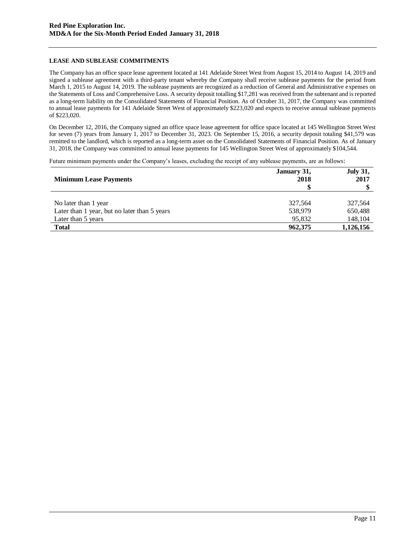## **LEASE AND SUBLEASE COMMITMENTS**

The Company has an office space lease agreement located at 141 Adelaide Street West from August 15, 2014 to August 14, 2019 and signed a sublease agreement with a third-party tenant whereby the Company shall receive sublease payments for the period from March 1, 2015 to August 14, 2019. The sublease payments are recognized as a reduction of General and Administrative expenses on the Statements of Loss and Comprehensive Loss. A security deposit totalling \$17,281 was received from the subtenant and is reported as a long-term liability on the Consolidated Statements of Financial Position. As of October 31, 2017, the Company was committed to annual lease payments for 141 Adelaide Street West of approximately \$223,020 and expects to receive annual sublease payments of \$223,020.

On December 12, 2016, the Company signed an office space lease agreement for office space located at 145 Wellington Street West for seven (7) years from January 1, 2017 to December 31, 2023. On September 15, 2016, a security deposit totaling \$41,579 was remitted to the landlord, which is reported as a long-term asset on the Consolidated Statements of Financial Position. As of January 31, 2018, the Company was committed to annual lease payments for 145 Wellington Street West of approximately \$104,544.

Future minimum payments under the Company's leases, excluding the receipt of any sublease payments, are as follows:

| <b>Minimum Lease Payments</b>                | January 31,<br>2018 | <b>July 31,</b><br>2017 |  |
|----------------------------------------------|---------------------|-------------------------|--|
| No later than 1 year                         | 327.564             | 327,564                 |  |
|                                              |                     |                         |  |
| Later than 1 year, but no later than 5 years | 538,979             | 650,488                 |  |
| Later than 5 years                           | 95,832              | 148,104                 |  |
| <b>Total</b>                                 | 962,375             | 1,126,156               |  |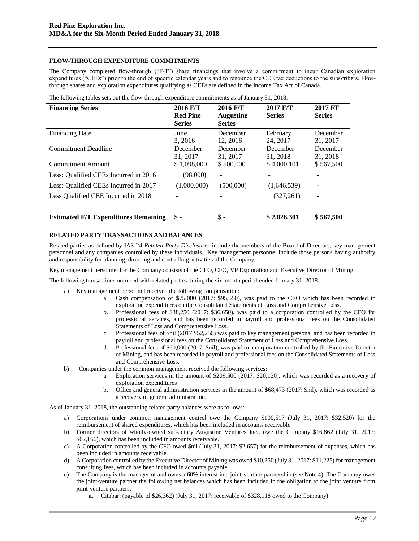## **FLOW-THROUGH EXPENDITURE COMMITMENTS**

The Company completed flow-through ("F/T") share financings that involve a commitment to incur Canadian exploration expenditures ("CEEs") prior to the end of specific calendar years and to renounce the CEE tax deductions to the subscribers. Flowthrough shares and exploration expenditures qualifying as CEEs are defined in the Income Tax Act of Canada.

| <b>Financing Series</b>                     | 2016 F/T<br><b>Red Pine</b><br><b>Series</b> | 2016 F/T<br><b>Augustine</b><br><b>Series</b> | 2017 F/T<br><b>Series</b>        | 2017 FT<br><b>Series</b>         |
|---------------------------------------------|----------------------------------------------|-----------------------------------------------|----------------------------------|----------------------------------|
| <b>Financing Date</b>                       | June                                         | December                                      | February                         | December                         |
| <b>Commitment Deadline</b>                  | 3.2016<br>December<br>31, 2017               | 12, 2016<br>December<br>31, 2017              | 24, 2017<br>December<br>31, 2018 | 31, 2017<br>December<br>31, 2018 |
| Commitment Amount                           | \$1,098,000                                  | \$500,000                                     | \$4,000,101                      | \$567,500                        |
| Less: Qualified CEEs Incurred in 2016       | (98,000)                                     | $\qquad \qquad -$                             |                                  |                                  |
| Less: Qualified CEEs Incurred in 2017       | (1,000,000)                                  | (500,000)                                     | (1,646,539)                      |                                  |
| Less Qualified CEE Incurred in 2018         |                                              |                                               | (327, 261)                       |                                  |
| <b>Estimated F/T Expenditures Remaining</b> | $\mathbf{s}$ .                               | \$ -                                          | \$2,026,301                      | \$567,500                        |

The following tables sets out the flow-through expenditure commitments as of January 31, 2018:

# **RELATED PARTY TRANSACTIONS AND BALANCES**

Related parties as defined by IAS 24 *Related Party Disclosures* include the members of the Board of Directors, key management personnel and any companies controlled by these individuals. Key management personnel include those persons having authority and responsibility for planning, directing and controlling activities of the Company.

Key management personnel for the Company consists of the CEO, CFO, VP Exploration and Executive Director of Mining.

The following transactions occurred with related parties during the six-month period ended January 31, 2018:

- a) Key management personnel received the following compensation:
	- a. Cash compensation of \$75,000 (2017: \$95,550), was paid to the CEO which has been recorded in exploration expenditures on the Consolidated Statements of Loss and Comprehensive Loss.
	- b. Professional fees of \$38,250 (2017: \$36,650), was paid to a corporation controlled by the CFO for professional services, and has been recorded in payroll and professional fees on the Consolidated Statements of Loss and Comprehensive Loss.
	- c. Professional fees of \$nil (2017 \$52,250) was paid to key management personal and has been recorded in payroll and professional fees on the Consolidated Statement of Loss and Comprehensive Loss.
	- d. Professional fees of \$60,000 (2017: \$nil), was paid to a corporation controlled by the Executive Director of Mining, and has been recorded in payroll and professional fees on the Consolidated Statements of Loss and Comprehensive Loss.
- b) Companies under the common management received the following services:
	- a. Exploration services in the amount of \$209,500 (2017: \$20,120), which was recorded as a recovery of exploration expenditures
	- b. Office and general administration services in the amount of \$68,473 (2017: \$nil), which was recorded as a recovery of general administration.

As of January 31, 2018, the outstanding related party balances were as follows:

- a) Corporations under common management control owe the Company \$100,517 (July 31, 2017: \$32,520) for the reimbursement of shared expenditures, which has been included in accounts receivable.
- b) Former directors of wholly-owned subsidiary Augustine Ventures Inc., owe the Company \$16,862 (July 31, 2017: \$62,166), which has been included in amounts receivable.
- c) A Corporation controlled by the CFO owed \$nil (July 31, 2017: \$2,657) for the reimbursement of expenses, which has been included in amounts receivable.
- d) A Corporation controlled by the Executive Director of Mining was owed \$10,250 (July 31, 2017: \$11,225) for management consulting fees, which has been included in accounts payable.
- e) The Company is the manager of and owns a 60% interest in a joint-venture partnership (see Note 4). The Company owes the joint-venture partner the following net balances which has been included in the obligation to the joint venture from joint-venture partners:
	- **a.** Citabar: (payable of \$26,362) (July 31, 2017: receivable of \$328,118 owed to the Company)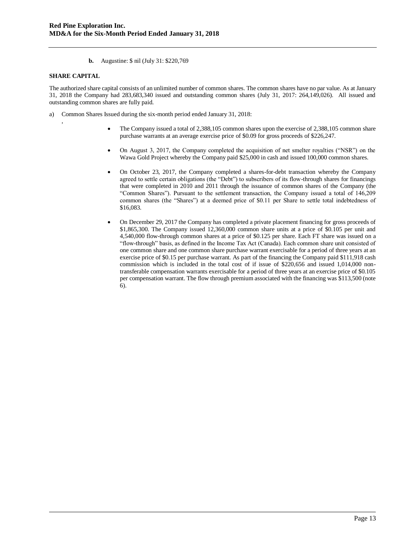**b.** Augustine: \$ nil (July 31: \$220,769

## **SHARE CAPITAL**

,

The authorized share capital consists of an unlimited number of common shares. The common shares have no par value. As at January 31, 2018 the Company had 283,683,340 issued and outstanding common shares (July 31, 2017: 264,149,026). All issued and outstanding common shares are fully paid.

- a) Common Shares Issued during the six-month period ended January 31, 2018:
	- The Company issued a total of 2,388,105 common shares upon the exercise of 2,388,105 common share purchase warrants at an average exercise price of \$0.09 for gross proceeds of \$226,247.
	- On August 3, 2017, the Company completed the acquisition of net smelter royalties ("NSR") on the Wawa Gold Project whereby the Company paid \$25,000 in cash and issued 100,000 common shares.
	- On October 23, 2017, the Company completed a shares-for-debt transaction whereby the Company agreed to settle certain obligations (the "Debt") to subscribers of its flow-through shares for financings that were completed in 2010 and 2011 through the issuance of common shares of the Company (the "Common Shares"). Pursuant to the settlement transaction, the Company issued a total of 146,209 common shares (the "Shares") at a deemed price of \$0.11 per Share to settle total indebtedness of \$16,083.
	- On December 29, 2017 the Company has completed a private placement financing for gross proceeds of \$1,865,300. The Company issued 12,360,000 common share units at a price of \$0.105 per unit and 4,540,000 flow-through common shares at a price of \$0.125 per share. Each FT share was issued on a "flow-through" basis, as defined in the Income Tax Act (Canada). Each common share unit consisted of one common share and one common share purchase warrant exercisable for a period of three years at an exercise price of \$0.15 per purchase warrant. As part of the financing the Company paid \$111,918 cash commission which is included in the total cost of if issue of \$220,656 and issued 1,014,000 nontransferable compensation warrants exercisable for a period of three years at an exercise price of \$0.105 per compensation warrant. The flow through premium associated with the financing was \$113,500 (note 6).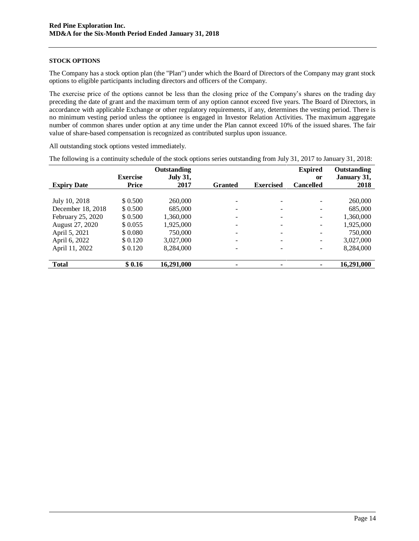# **STOCK OPTIONS**

The Company has a stock option plan (the "Plan") under which the Board of Directors of the Company may grant stock options to eligible participants including directors and officers of the Company.

The exercise price of the options cannot be less than the closing price of the Company's shares on the trading day preceding the date of grant and the maximum term of any option cannot exceed five years. The Board of Directors, in accordance with applicable Exchange or other regulatory requirements, if any, determines the vesting period. There is no minimum vesting period unless the optionee is engaged in Investor Relation Activities. The maximum aggregate number of common shares under option at any time under the Plan cannot exceed 10% of the issued shares. The fair value of share-based compensation is recognized as contributed surplus upon issuance.

All outstanding stock options vested immediately.

The following is a continuity schedule of the stock options series outstanding from July 31, 2017 to January 31, 2018:

|                    |                 | <b>Outstanding</b> |                          |                          | <b>Expired</b>               | <b>Outstanding</b> |
|--------------------|-----------------|--------------------|--------------------------|--------------------------|------------------------------|--------------------|
|                    | <b>Exercise</b> | <b>July 31,</b>    |                          |                          | or                           | January 31,        |
| <b>Expiry Date</b> | Price           | 2017               | <b>Granted</b>           | <b>Exercised</b>         | <b>Cancelled</b>             | 2018               |
|                    |                 |                    |                          |                          |                              |                    |
| July 10, 2018      | \$ 0.500        | 260,000            |                          | $\overline{\phantom{0}}$ |                              | 260,000            |
| December 18, 2018  | \$ 0.500        | 685,000            |                          | ۰                        |                              | 685,000            |
| February 25, 2020  | \$ 0.500        | 1,360,000          | $\overline{\phantom{0}}$ | ۰                        | $\overline{a}$               | 1,360,000          |
| August 27, 2020    | \$0.055         | 1,925,000          |                          | ۰                        | $\qquad \qquad \blacksquare$ | 1,925,000          |
| April 5, 2021      | \$0.080         | 750,000            |                          | ۰                        | $\overline{\phantom{a}}$     | 750,000            |
| April 6, 2022      | \$ 0.120        | 3,027,000          |                          | $\overline{\phantom{0}}$ |                              | 3,027,000          |
| April 11, 2022     | \$ 0.120        | 8,284,000          |                          | ۰                        |                              | 8,284,000          |
|                    |                 |                    |                          |                          |                              |                    |
| <b>Total</b>       | \$0.16          | 16,291,000         |                          | ۰                        | $\blacksquare$               | 16,291,000         |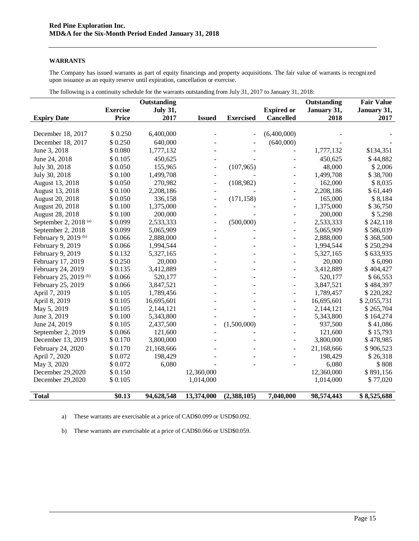## **WARRANTS**

The Company has issued warrants as part of equity financings and property acquisitions. The fair value of warrants is recognized upon issuance as an equity reserve until expiration, cancellation or exercise.

| The following is a continuity schedule for the warrants outstanding from July 31, 2017 to January 31, 2018: |  |
|-------------------------------------------------------------------------------------------------------------|--|
|                                                                                                             |  |

|                       |                 | Outstanding     |               |                  |                   | <b>Outstanding</b> | <b>Fair Value</b> |
|-----------------------|-----------------|-----------------|---------------|------------------|-------------------|--------------------|-------------------|
|                       | <b>Exercise</b> | <b>July 31,</b> |               |                  | <b>Expired or</b> | January 31,        | January 31,       |
| <b>Expiry Date</b>    | <b>Price</b>    | 2017            | <b>Issued</b> | <b>Exercised</b> | <b>Cancelled</b>  | 2018               | 2017              |
|                       |                 |                 |               |                  |                   |                    |                   |
| December 18, 2017     | \$0.250         | 6,400,000       |               |                  | (6,400,000)       |                    |                   |
| December 18, 2017     | \$0.250         | 640,000         |               |                  | (640,000)         |                    |                   |
| June 3, 2018          | \$0.080         | 1,777,132       |               |                  |                   | 1,777,132          | \$134,351         |
| June 24, 2018         | \$0.105         | 450,625         |               |                  |                   | 450,625            | \$44,882          |
| July 30, 2018         | \$0.050         | 155,965         |               | (107, 965)       |                   | 48,000             | \$2,006           |
| July 30, 2018         | \$0.100         | 1,499,708       |               |                  |                   | 1,499,708          | \$38,700          |
| August 13, 2018       | \$0.050         | 270,982         |               | (108,982)        |                   | 162,000            | \$8,035           |
| August 13, 2018       | \$0.100         | 2,208,186       |               |                  |                   | 2,208,186          | \$61,449          |
| August 20, 2018       | \$0.050         | 336,158         |               | (171, 158)       |                   | 165,000            | \$8,184           |
| August 20, 2018       | \$0.100         | 1,375,000       |               |                  |                   | 1,375,000          | \$36,750          |
| August 28, 2018       | \$0.100         | 200,000         |               |                  |                   | 200,000            | \$5,298           |
| September 2, 2018 (a) | \$0.099         | 2,533,333       |               | (500,000)        |                   | 2,533,333          | \$242,118         |
| September 2, 2018     | \$0.099         | 5,065,909       |               |                  | $\blacksquare$    | 5,065,909          | \$586,039         |
| February 9, 2019 (b)  | \$0.066         | 2,888,000       |               |                  | ÷.                | 2,888,000          | \$368,500         |
| February 9, 2019      | \$0.066         | 1,994,544       |               |                  |                   | 1,994,544          | \$250,294         |
| February 9, 2019      | \$0.132         | 5,327,165       |               |                  |                   | 5,327,165          | \$633,935         |
| February 17, 2019     | \$0.250         | 20,000          |               |                  |                   | 20,000             | \$6,090           |
| February 24, 2019     | \$0.135         | 3,412,889       |               |                  |                   | 3,412,889          | \$404,427         |
| February 25, 2019 (b) | \$0.066         | 520,177         |               |                  | $\blacksquare$    | 520,177            | \$66,553          |
| February 25, 2019     | \$0.066         | 3,847,521       |               |                  | $\blacksquare$    | 3,847,521          | \$484,397         |
| April 7, 2019         | \$0.105         | 1,789,456       |               |                  | $\overline{a}$    | 1,789,457          | \$220,282         |
| April 8, 2019         | \$0.105         | 16,695,601      |               |                  |                   | 16,695,601         | \$2,055,731       |
| May 5, 2019           | \$0.105         | 2,144,121       |               |                  | L,                | 2,144,121          | \$265,704         |
| June 3, 2019          | \$0.100         | 5,343,800       |               |                  |                   | 5,343,800          | \$164,274         |
| June 24, 2019         | \$0.105         | 2,437,500       |               | (1,500,000)      |                   | 937,500            | \$41,086          |
| September 2, 2019     | \$0.066         | 121,600         |               |                  |                   | 121,600            | \$15,793          |
| December 13, 2019     | \$0.170         | 3,800,000       |               |                  |                   | 3,800,000          | \$478,985         |
| February 24, 2020     | \$0.170         | 21,168,666      |               |                  | ÷.                | 21,168,666         | \$906,523         |
| April 7, 2020         | \$0.072         | 198,429         |               |                  | $\overline{a}$    | 198,429            | \$26,318          |
| May 3, 2020           | \$0.072         | 6,080           |               |                  |                   | 6,080              | \$808             |
| December 29,2020      | \$0.150         |                 | 12,360,000    |                  |                   | 12,360,000         | \$891,156         |
| December 29,2020      | \$0.105         |                 | 1,014,000     |                  |                   | 1,014,000          | \$77,020          |
|                       |                 |                 |               |                  |                   |                    |                   |
| <b>Total</b>          | \$0.13          | 94,628,548      | 13,374,000    | (2,388,105)      | 7,040,000         | 98,574,443         | \$8,525,688       |

a) These warrants are exercisable at a price of CAD\$0.099 or USD\$0.092.

b) These warrants are exercisable at a price of CAD\$0.066 or USD\$0.059.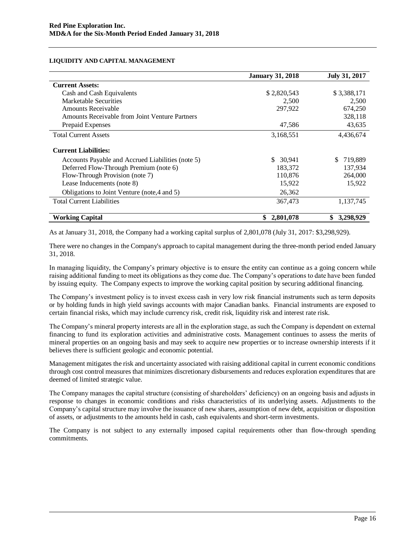# **LIQUIDITY AND CAPITAL MANAGEMENT**

|                                                   | <b>January 31, 2018</b> | July 31, 2017   |
|---------------------------------------------------|-------------------------|-----------------|
| <b>Current Assets:</b>                            |                         |                 |
| Cash and Cash Equivalents                         | \$2,820,543             | \$3,388,171     |
| <b>Marketable Securities</b>                      | 2,500                   | 2,500           |
| <b>Amounts Receivable</b>                         | 297,922                 | 674,250         |
| Amounts Receivable from Joint Venture Partners    |                         | 328,118         |
| Prepaid Expenses                                  | 47,586                  | 43,635          |
| <b>Total Current Assets</b>                       | 3,168,551               | 4,436,674       |
| <b>Current Liabilities:</b>                       |                         |                 |
| Accounts Payable and Accrued Liabilities (note 5) | 30,941                  | 719,889<br>\$.  |
| Deferred Flow-Through Premium (note 6)            | 183,372                 | 137,934         |
| Flow-Through Provision (note 7)                   | 110,876                 | 264,000         |
| Lease Inducements (note 8)                        | 15,922                  | 15,922          |
| Obligations to Joint Venture (note, 4 and 5)      | 26,362                  |                 |
| <b>Total Current Liabilities</b>                  | 367,473                 | 1,137,745       |
| <b>Working Capital</b>                            | 2,801,078               | 3,298,929<br>\$ |

As at January 31, 2018, the Company had a working capital surplus of 2,801,078 (July 31, 2017: \$3,298,929).

There were no changes in the Company's approach to capital management during the three-month period ended January 31, 2018.

In managing liquidity, the Company's primary objective is to ensure the entity can continue as a going concern while raising additional funding to meet its obligations as they come due. The Company's operations to date have been funded by issuing equity. The Company expects to improve the working capital position by securing additional financing.

The Company's investment policy is to invest excess cash in very low risk financial instruments such as term deposits or by holding funds in high yield savings accounts with major Canadian banks. Financial instruments are exposed to certain financial risks, which may include currency risk, credit risk, liquidity risk and interest rate risk.

The Company's mineral property interests are all in the exploration stage, as such the Company is dependent on external financing to fund its exploration activities and administrative costs. Management continues to assess the merits of mineral properties on an ongoing basis and may seek to acquire new properties or to increase ownership interests if it believes there is sufficient geologic and economic potential.

Management mitigates the risk and uncertainty associated with raising additional capital in current economic conditions through cost control measures that minimizes discretionary disbursements and reduces exploration expenditures that are deemed of limited strategic value.

The Company manages the capital structure (consisting of shareholders' deficiency) on an ongoing basis and adjusts in response to changes in economic conditions and risks characteristics of its underlying assets. Adjustments to the Company's capital structure may involve the issuance of new shares, assumption of new debt, acquisition or disposition of assets, or adjustments to the amounts held in cash, cash equivalents and short-term investments.

The Company is not subject to any externally imposed capital requirements other than flow-through spending commitments.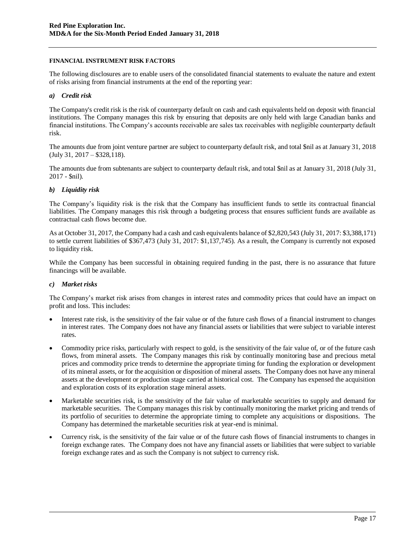# **FINANCIAL INSTRUMENT RISK FACTORS**

The following disclosures are to enable users of the consolidated financial statements to evaluate the nature and extent of risks arising from financial instruments at the end of the reporting year:

## *a) Credit risk*

The Company's credit risk is the risk of counterparty default on cash and cash equivalents held on deposit with financial institutions. The Company manages this risk by ensuring that deposits are only held with large Canadian banks and financial institutions. The Company's accounts receivable are sales tax receivables with negligible counterparty default risk.

The amounts due from joint venture partner are subject to counterparty default risk, and total \$nil as at January 31, 2018 (July 31, 2017 – \$328,118).

The amounts due from subtenants are subject to counterparty default risk, and total \$nil as at January 31, 2018 (July 31, 2017 - \$nil).

## *b) Liquidity risk*

The Company's liquidity risk is the risk that the Company has insufficient funds to settle its contractual financial liabilities. The Company manages this risk through a budgeting process that ensures sufficient funds are available as contractual cash flows become due.

As at October 31, 2017, the Company had a cash and cash equivalents balance of \$2,820,543 (July 31, 2017: \$3,388,171) to settle current liabilities of \$367,473 (July 31, 2017: \$1,137,745). As a result, the Company is currently not exposed to liquidity risk.

While the Company has been successful in obtaining required funding in the past, there is no assurance that future financings will be available.

## *c) Market risks*

The Company's market risk arises from changes in interest rates and commodity prices that could have an impact on profit and loss. This includes:

- Interest rate risk, is the sensitivity of the fair value or of the future cash flows of a financial instrument to changes in interest rates. The Company does not have any financial assets or liabilities that were subject to variable interest rates.
- Commodity price risks, particularly with respect to gold, is the sensitivity of the fair value of, or of the future cash flows, from mineral assets. The Company manages this risk by continually monitoring base and precious metal prices and commodity price trends to determine the appropriate timing for funding the exploration or development of its mineral assets, or for the acquisition or disposition of mineral assets. The Company does not have any mineral assets at the development or production stage carried at historical cost. The Company has expensed the acquisition and exploration costs of its exploration stage mineral assets.
- Marketable securities risk, is the sensitivity of the fair value of marketable securities to supply and demand for marketable securities. The Company manages this risk by continually monitoring the market pricing and trends of its portfolio of securities to determine the appropriate timing to complete any acquisitions or dispositions. The Company has determined the marketable securities risk at year-end is minimal.
- Currency risk, is the sensitivity of the fair value or of the future cash flows of financial instruments to changes in foreign exchange rates. The Company does not have any financial assets or liabilities that were subject to variable foreign exchange rates and as such the Company is not subject to currency risk.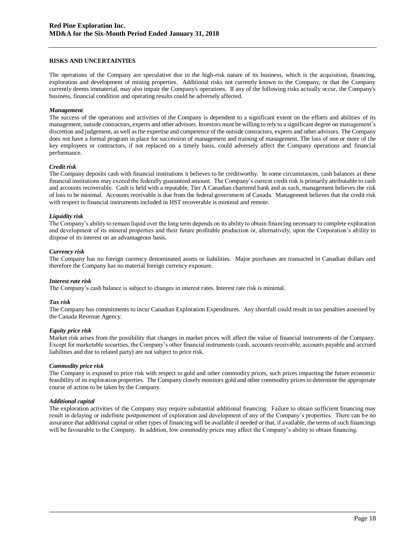### **RISKS AND UNCERTAINTIES**

The operations of the Company are speculative due to the high-risk nature of its business, which is the acquisition, financing, exploration and development of mining properties. Additional risks not currently known to the Company, or that the Company currently deems immaterial, may also impair the Company's operations. If any of the following risks actually occur, the Company's business, financial condition and operating results could be adversely affected.

#### *Management*

The success of the operations and activities of the Company is dependent to a significant extent on the efforts and abilities of its management, outside contractors, experts and other advisors. Investors must be willing to rely to a significant degree on management's discretion and judgement, as well as the expertise and competence of the outside contractors, experts and other advisors. The Company does not have a formal program in place for succession of management and training of management. The loss of one or more of the key employees or contractors, if not replaced on a timely basis, could adversely affect the Company operations and financial performance.

#### *Credit risk*

The Company deposits cash with financial institutions it believes to be creditworthy. In some circumstances, cash balances at these financial institutions may exceed the federally guaranteed amount. The Company's current credit risk is primarily attributable to cash and accounts recoverable. Cash is held with a reputable, Tier A Canadian chartered bank and as such, management believes the risk of loss to be minimal. Accounts receivable is due from the federal government of Canada. Management believes that the credit risk with respect to financial instruments included in HST recoverable is minimal and remote.

#### *Liquidity risk*

The Company's ability to remain liquid over the long term depends on its ability to obtain financing necessary to complete exploration and development of its mineral properties and their future profitable production or, alternatively, upon the Corporation's ability to dispose of its interest on an advantageous basis.

#### *Currency risk*

The Company has no foreign currency denominated assets or liabilities. Major purchases are transacted in Canadian dollars and therefore the Company has no material foreign currency exposure.

#### *Interest rate risk*

The Company's cash balance is subject to changes in interest rates. Interest rate risk is minimal.

## *Tax risk*

The Company has commitments to incur Canadian Exploration Expenditures. Any shortfall could result in tax penalties assessed by the Canada Revenue Agency.

#### *Equity price risk*

Market risk arises from the possibility that changes in market prices will affect the value of financial instruments of the Company. Except for marketable securities, the Company's other financial instruments (cash, accounts receivable, accounts payable and accrued liabilities and due to related party) are not subject to price risk.

#### *Commodity price risk*

The Company is exposed to price risk with respect to gold and other commodity prices, such prices impacting the future economic feasibility of its exploration properties. The Company closely monitors gold and other commodity prices to determine the appropriate course of action to be taken by the Company.

#### *Additional capital*

The exploration activities of the Company may require substantial additional financing. Failure to obtain sufficient financing may result in delaying or indefinite postponement of exploration and development of any of the Company's properties. There can be no assurance that additional capital or other types of financing will be available if needed or that, if available, the terms of such financings will be favourable to the Company. In addition, low commodity prices may affect the Company's ability to obtain financing.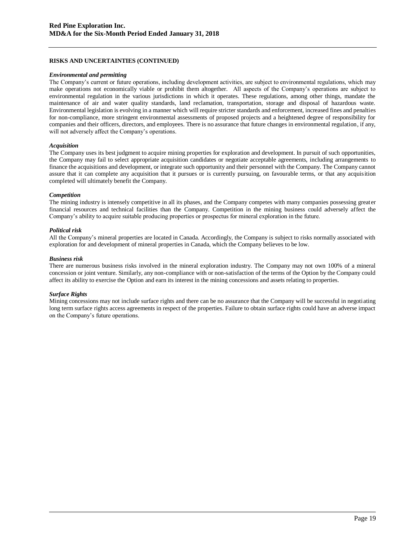## **RISKS AND UNCERTAINTIES (CONTINUED)**

### *Environmental and permitting*

The Company's current or future operations, including development activities, are subject to environmental regulations, which may make operations not economically viable or prohibit them altogether. All aspects of the Company's operations are subject to environmental regulation in the various jurisdictions in which it operates. These regulations, among other things, mandate the maintenance of air and water quality standards, land reclamation, transportation, storage and disposal of hazardous waste. Environmental legislation is evolving in a manner which will require stricter standards and enforcement, increased fines and penalties for non-compliance, more stringent environmental assessments of proposed projects and a heightened degree of responsibility for companies and their officers, directors, and employees. There is no assurance that future changes in environmental regulation, if any, will not adversely affect the Company's operations.

## *Acquisition*

The Company uses its best judgment to acquire mining properties for exploration and development. In pursuit of such opportunities, the Company may fail to select appropriate acquisition candidates or negotiate acceptable agreements, including arrangements to finance the acquisitions and development, or integrate such opportunity and their personnel with the Company. The Company cannot assure that it can complete any acquisition that it pursues or is currently pursuing, on favourable terms, or that any acquisition completed will ultimately benefit the Company.

## *Competition*

The mining industry is intensely competitive in all its phases, and the Company competes with many companies possessing great er financial resources and technical facilities than the Company. Competition in the mining business could adversely affect the Company's ability to acquire suitable producing properties or prospectus for mineral exploration in the future.

## *Political risk*

All the Company's mineral properties are located in Canada. Accordingly, the Company is subject to risks normally associated with exploration for and development of mineral properties in Canada, which the Company believes to be low.

## *Business risk*

There are numerous business risks involved in the mineral exploration industry. The Company may not own 100% of a mineral concession or joint venture. Similarly, any non-compliance with or non-satisfaction of the terms of the Option by the Company could affect its ability to exercise the Option and earn its interest in the mining concessions and assets relating to properties.

## *Surface Rights*

Mining concessions may not include surface rights and there can be no assurance that the Company will be successful in negotiating long term surface rights access agreements in respect of the properties. Failure to obtain surface rights could have an adverse impact on the Company's future operations.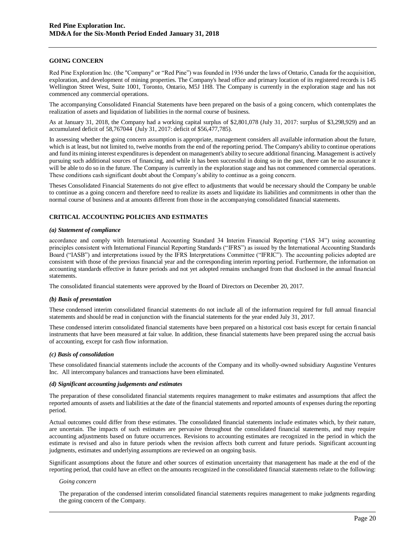#### **GOING CONCERN**

Red Pine Exploration Inc. (the "Company" or "Red Pine") was founded in 1936 under the laws of Ontario, Canada for the acquisition, exploration, and development of mining properties. The Company's head office and primary location of its registered records is 145 Wellington Street West, Suite 1001, Toronto, Ontario, M5J 1H8. The Company is currently in the exploration stage and has not commenced any commercial operations.

The accompanying Consolidated Financial Statements have been prepared on the basis of a going concern, which contemplates the realization of assets and liquidation of liabilities in the normal course of business.

As at January 31, 2018, the Company had a working capital surplus of \$2,801,078 (July 31, 2017: surplus of \$3,298,929) and an accumulated deficit of 58,767044 (July 31, 2017: deficit of \$56,477,785).

In assessing whether the going concern assumption is appropriate, management considers all available information about the future, which is at least, but not limited to, twelve months from the end of the reporting period. The Company's ability to continue operations and fund its mining interest expenditures is dependent on management's ability to secure additional financing. Management is actively pursuing such additional sources of financing, and while it has been successful in doing so in the past, there can be no assurance it will be able to do so in the future. The Company is currently in the exploration stage and has not commenced commercial operations. These conditions cash significant doubt about the Company's ability to continue as a going concern.

Theses Consolidated Financial Statements do not give effect to adjustments that would be necessary should the Company be unable to continue as a going concern and therefore need to realize its assets and liquidate its liabilities and commitments in other than the normal course of business and at amounts different from those in the accompanying consolidated financial statements.

## **CRITICAL ACCOUNTING POLICIES AND ESTIMATES**

#### *(a) Statement of compliance*

accordance and comply with International Accounting Standard 34 Interim Financial Reporting ("IAS 34") using accounting principles consistent with International Financial Reporting Standards ("IFRS") as issued by the International Accounting Standards Board ("IASB") and interpretations issued by the IFRS Interpretations Committee ("IFRIC"). The accounting policies adopted are consistent with those of the previous financial year and the corresponding interim reporting period. Furthermore, the information on accounting standards effective in future periods and not yet adopted remains unchanged from that disclosed in the annual financial statements.

The consolidated financial statements were approved by the Board of Directors on December 20, 2017.

#### *(b) Basis of presentation*

These condensed interim consolidated financial statements do not include all of the information required for full annual financial statements and should be read in conjunction with the financial statements for the year ended July 31, 2017.

These condensed interim consolidated financial statements have been prepared on a historical cost basis except for certain financial instruments that have been measured at fair value. In addition, these financial statements have been prepared using the accrual basis of accounting, except for cash flow information.

#### *(c) Basis of consolidation*

These consolidated financial statements include the accounts of the Company and its wholly-owned subsidiary Augustine Ventures Inc. All intercompany balances and transactions have been eliminated.

#### *(d) Significant accounting judgements and estimates*

The preparation of these consolidated financial statements requires management to make estimates and assumptions that affect the reported amounts of assets and liabilities at the date of the financial statements and reported amounts of expenses during the reporting period.

Actual outcomes could differ from these estimates. The consolidated financial statements include estimates which, by their nature, are uncertain. The impacts of such estimates are pervasive throughout the consolidated financial statements, and may require accounting adjustments based on future occurrences. Revisions to accounting estimates are recognized in the period in which the estimate is revised and also in future periods when the revision affects both current and future periods. Significant accounting judgments, estimates and underlying assumptions are reviewed on an ongoing basis.

Significant assumptions about the future and other sources of estimation uncertainty that management has made at the end of the reporting period, that could have an effect on the amounts recognized in the consolidated financial statements relate to the following:

#### *Going concern*

The preparation of the condensed interim consolidated financial statements requires management to make judgments regarding the going concern of the Company.